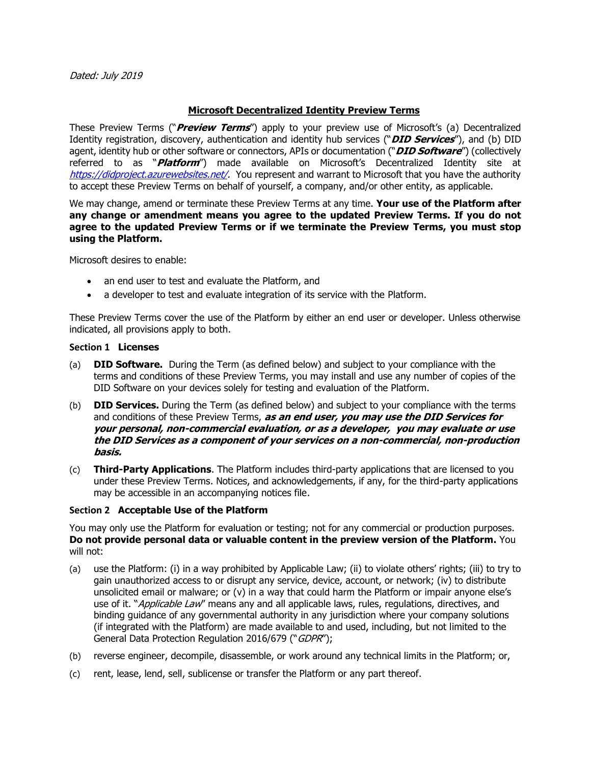### **Microsoft Decentralized Identity Preview Terms**

These Preview Terms ("**Preview Terms**") apply to your preview use of Microsoft's (a) Decentralized Identity registration, discovery, authentication and identity hub services ("**DID Services**"), and (b) DID agent, identity hub or other software or connectors, APIs or documentation ("**DID Software**") (collectively referred to as "**Platform**") made available on Microsoft's Decentralized Identity site at [https://didproject.azurewebsites.net/.](https://didproject.azurewebsites.net/) You represent and warrant to Microsoft that you have the authority to accept these Preview Terms on behalf of yourself, a company, and/or other entity, as applicable.

We may change, amend or terminate these Preview Terms at any time. **Your use of the Platform after any change or amendment means you agree to the updated Preview Terms. If you do not agree to the updated Preview Terms or if we terminate the Preview Terms, you must stop using the Platform.**

Microsoft desires to enable:

- an end user to test and evaluate the Platform, and
- a developer to test and evaluate integration of its service with the Platform.

These Preview Terms cover the use of the Platform by either an end user or developer. Unless otherwise indicated, all provisions apply to both.

#### **Section 1 Licenses**

- (a) **DID Software.** During the Term (as defined below) and subject to your compliance with the terms and conditions of these Preview Terms, you may install and use any number of copies of the DID Software on your devices solely for testing and evaluation of the Platform.
- (b) **DID Services.** During the Term (as defined below) and subject to your compliance with the terms and conditions of these Preview Terms, **as an end user, you may use the DID Services for your personal, non-commercial evaluation, or as a developer, you may evaluate or use the DID Services as a component of your services on a non-commercial, non-production basis.**
- (c) **Third-Party Applications**. The Platform includes third-party applications that are licensed to you under these Preview Terms. Notices, and acknowledgements, if any, for the third-party applications may be accessible in an accompanying notices file.

#### **Section 2 Acceptable Use of the Platform**

You may only use the Platform for evaluation or testing; not for any commercial or production purposes. **Do not provide personal data or valuable content in the preview version of the Platform.** You will not:

- (a) use the Platform: (i) in a way prohibited by Applicable Law; (ii) to violate others' rights; (iii) to try to gain unauthorized access to or disrupt any service, device, account, or network; (iv) to distribute unsolicited email or malware; or (v) in a way that could harm the Platform or impair anyone else's use of it. "*Applicable Law*" means any and all applicable laws, rules, regulations, directives, and binding guidance of any governmental authority in any jurisdiction where your company solutions (if integrated with the Platform) are made available to and used, including, but not limited to the General Data Protection Regulation 2016/679 ("GDPR");
- (b) reverse engineer, decompile, disassemble, or work around any technical limits in the Platform; or,
- (c) rent, lease, lend, sell, sublicense or transfer the Platform or any part thereof.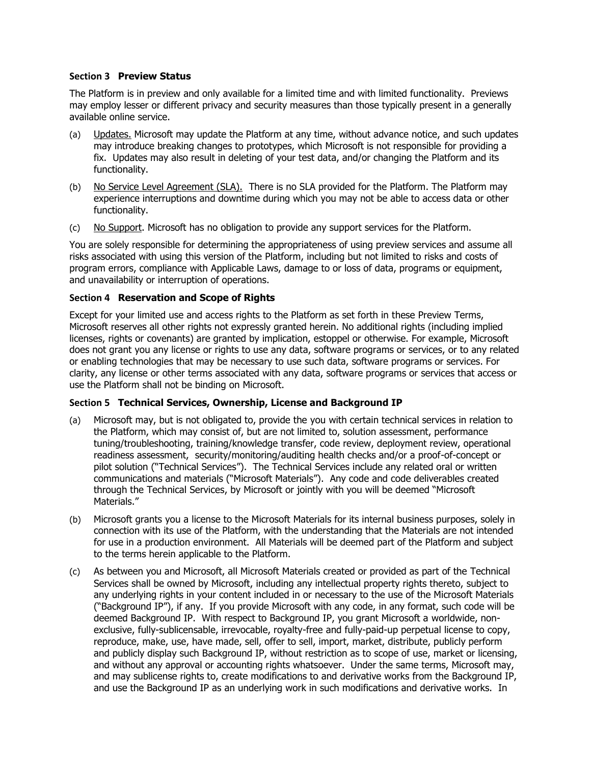#### **Section 3 Preview Status**

The Platform is in preview and only available for a limited time and with limited functionality. Previews may employ lesser or different privacy and security measures than those typically present in a generally available online service.

- (a) Updates. Microsoft may update the Platform at any time, without advance notice, and such updates may introduce breaking changes to prototypes, which Microsoft is not responsible for providing a fix. Updates may also result in deleting of your test data, and/or changing the Platform and its functionality.
- (b) No Service Level Agreement (SLA). There is no SLA provided for the Platform. The Platform may experience interruptions and downtime during which you may not be able to access data or other functionality.
- (c) No Support. Microsoft has no obligation to provide any support services for the Platform.

You are solely responsible for determining the appropriateness of using preview services and assume all risks associated with using this version of the Platform, including but not limited to risks and costs of program errors, compliance with Applicable Laws, damage to or loss of data, programs or equipment, and unavailability or interruption of operations.

## **Section 4 Reservation and Scope of Rights**

Except for your limited use and access rights to the Platform as set forth in these Preview Terms, Microsoft reserves all other rights not expressly granted herein. No additional rights (including implied licenses, rights or covenants) are granted by implication, estoppel or otherwise. For example, Microsoft does not grant you any license or rights to use any data, software programs or services, or to any related or enabling technologies that may be necessary to use such data, software programs or services. For clarity, any license or other terms associated with any data, software programs or services that access or use the Platform shall not be binding on Microsoft.

## **Section 5 Technical Services, Ownership, License and Background IP**

- (a) Microsoft may, but is not obligated to, provide the you with certain technical services in relation to the Platform, which may consist of, but are not limited to, solution assessment, performance tuning/troubleshooting, training/knowledge transfer, code review, deployment review, operational readiness assessment, security/monitoring/auditing health checks and/or a proof-of-concept or pilot solution ("Technical Services"). The Technical Services include any related oral or written communications and materials ("Microsoft Materials"). Any code and code deliverables created through the Technical Services, by Microsoft or jointly with you will be deemed "Microsoft Materials."
- (b) Microsoft grants you a license to the Microsoft Materials for its internal business purposes, solely in connection with its use of the Platform, with the understanding that the Materials are not intended for use in a production environment. All Materials will be deemed part of the Platform and subject to the terms herein applicable to the Platform.
- (c) As between you and Microsoft, all Microsoft Materials created or provided as part of the Technical Services shall be owned by Microsoft, including any intellectual property rights thereto, subject to any underlying rights in your content included in or necessary to the use of the Microsoft Materials ("Background IP"), if any. If you provide Microsoft with any code, in any format, such code will be deemed Background IP. With respect to Background IP, you grant Microsoft a worldwide, nonexclusive, fully-sublicensable, irrevocable, royalty-free and fully-paid-up perpetual license to copy, reproduce, make, use, have made, sell, offer to sell, import, market, distribute, publicly perform and publicly display such Background IP, without restriction as to scope of use, market or licensing, and without any approval or accounting rights whatsoever. Under the same terms, Microsoft may, and may sublicense rights to, create modifications to and derivative works from the Background IP, and use the Background IP as an underlying work in such modifications and derivative works. In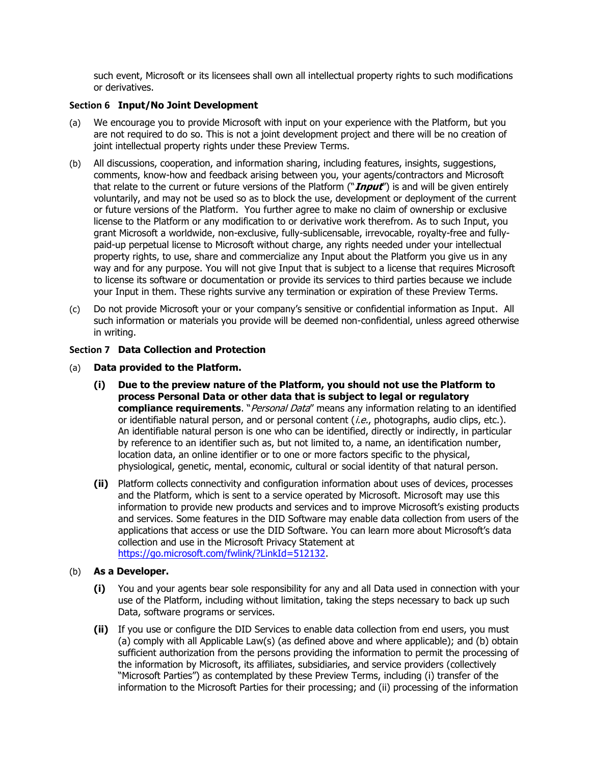such event, Microsoft or its licensees shall own all intellectual property rights to such modifications or derivatives.

#### **Section 6 Input/No Joint Development**

- (a) We encourage you to provide Microsoft with input on your experience with the Platform, but you are not required to do so. This is not a joint development project and there will be no creation of joint intellectual property rights under these Preview Terms.
- (b) All discussions, cooperation, and information sharing, including features, insights, suggestions, comments, know-how and feedback arising between you, your agents/contractors and Microsoft that relate to the current or future versions of the Platform ("**Input**") is and will be given entirely voluntarily, and may not be used so as to block the use, development or deployment of the current or future versions of the Platform. You further agree to make no claim of ownership or exclusive license to the Platform or any modification to or derivative work therefrom. As to such Input, you grant Microsoft a worldwide, non-exclusive, fully-sublicensable, irrevocable, royalty-free and fullypaid-up perpetual license to Microsoft without charge, any rights needed under your intellectual property rights, to use, share and commercialize any Input about the Platform you give us in any way and for any purpose. You will not give Input that is subject to a license that requires Microsoft to license its software or documentation or provide its services to third parties because we include your Input in them. These rights survive any termination or expiration of these Preview Terms.
- (c) Do not provide Microsoft your or your company's sensitive or confidential information as Input. All such information or materials you provide will be deemed non-confidential, unless agreed otherwise in writing.

#### **Section 7 Data Collection and Protection**

- (a) **Data provided to the Platform.**
	- **(i) Due to the preview nature of the Platform, you should not use the Platform to process Personal Data or other data that is subject to legal or regulatory compliance requirements**. "Personal Data" means any information relating to an identified or identifiable natural person, and or personal content (i.e., photographs, audio clips, etc.). An identifiable natural person is one who can be identified, directly or indirectly, in particular by reference to an identifier such as, but not limited to, a name, an identification number, location data, an online identifier or to one or more factors specific to the physical, physiological, genetic, mental, economic, cultural or social identity of that natural person.
	- **(ii)** Platform collects connectivity and configuration information about uses of devices, processes and the Platform, which is sent to a service operated by Microsoft. Microsoft may use this information to provide new products and services and to improve Microsoft's existing products and services. Some features in the DID Software may enable data collection from users of the applications that access or use the DID Software. You can learn more about Microsoft's data collection and use in the Microsoft Privacy Statement at [https://go.microsoft.com/fwlink/?LinkId=512132.](https://go.microsoft.com/fwlink/?LinkId=512132)

## (b) **As a Developer.**

- **(i)** You and your agents bear sole responsibility for any and all Data used in connection with your use of the Platform, including without limitation, taking the steps necessary to back up such Data, software programs or services.
- **(ii)** If you use or configure the DID Services to enable data collection from end users, you must (a) comply with all Applicable Law(s) (as defined above and where applicable); and (b) obtain sufficient authorization from the persons providing the information to permit the processing of the information by Microsoft, its affiliates, subsidiaries, and service providers (collectively "Microsoft Parties") as contemplated by these Preview Terms, including (i) transfer of the information to the Microsoft Parties for their processing; and (ii) processing of the information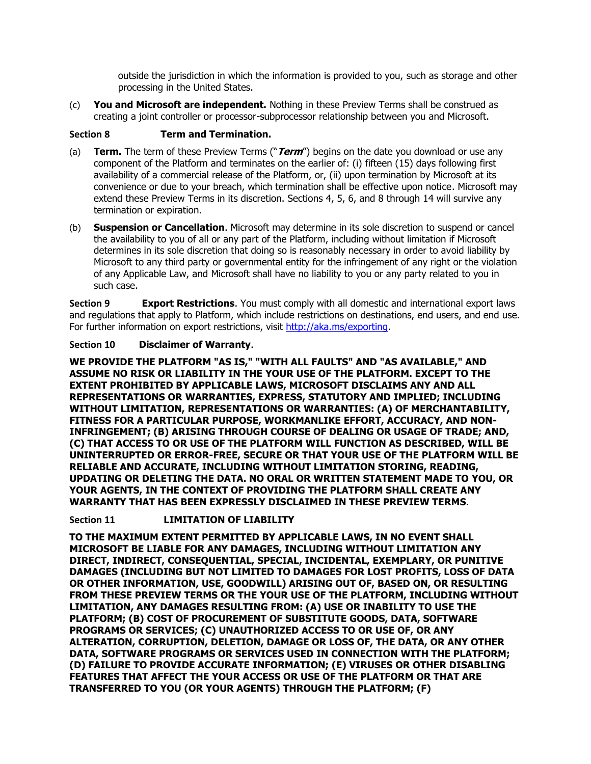outside the jurisdiction in which the information is provided to you, such as storage and other processing in the United States.

(c) **You and Microsoft are independent.** Nothing in these Preview Terms shall be construed as creating a joint controller or processor-subprocessor relationship between you and Microsoft.

## **Section 8 Term and Termination.**

- (a) **Term.** The term of these Preview Terms ("**Term**") begins on the date you download or use any component of the Platform and terminates on the earlier of: (i) fifteen (15) days following first availability of a commercial release of the Platform, or, (ii) upon termination by Microsoft at its convenience or due to your breach, which termination shall be effective upon notice. Microsoft may extend these Preview Terms in its discretion. Sections 4, 5, 6, and 8 through 14 will survive any termination or expiration.
- (b) **Suspension or Cancellation**. Microsoft may determine in its sole discretion to suspend or cancel the availability to you of all or any part of the Platform, including without limitation if Microsoft determines in its sole discretion that doing so is reasonably necessary in order to avoid liability by Microsoft to any third party or governmental entity for the infringement of any right or the violation of any Applicable Law, and Microsoft shall have no liability to you or any party related to you in such case.

**Section 9 <b>Export Restrictions**. You must comply with all domestic and international export laws and regulations that apply to Platform, which include restrictions on destinations, end users, and end use. For further information on export restrictions, visit [http://aka.ms/exporting.](http://aka.ms/exporting)

# **Section 10 Disclaimer of Warranty**.

**WE PROVIDE THE PLATFORM "AS IS," "WITH ALL FAULTS" AND "AS AVAILABLE," AND ASSUME NO RISK OR LIABILITY IN THE YOUR USE OF THE PLATFORM. EXCEPT TO THE EXTENT PROHIBITED BY APPLICABLE LAWS, MICROSOFT DISCLAIMS ANY AND ALL REPRESENTATIONS OR WARRANTIES, EXPRESS, STATUTORY AND IMPLIED; INCLUDING WITHOUT LIMITATION, REPRESENTATIONS OR WARRANTIES: (A) OF MERCHANTABILITY, FITNESS FOR A PARTICULAR PURPOSE, WORKMANLIKE EFFORT, ACCURACY, AND NON-INFRINGEMENT; (B) ARISING THROUGH COURSE OF DEALING OR USAGE OF TRADE; AND, (C) THAT ACCESS TO OR USE OF THE PLATFORM WILL FUNCTION AS DESCRIBED, WILL BE UNINTERRUPTED OR ERROR-FREE, SECURE OR THAT YOUR USE OF THE PLATFORM WILL BE RELIABLE AND ACCURATE, INCLUDING WITHOUT LIMITATION STORING, READING, UPDATING OR DELETING THE DATA. NO ORAL OR WRITTEN STATEMENT MADE TO YOU, OR YOUR AGENTS, IN THE CONTEXT OF PROVIDING THE PLATFORM SHALL CREATE ANY WARRANTY THAT HAS BEEN EXPRESSLY DISCLAIMED IN THESE PREVIEW TERMS**.

## **Section 11 LIMITATION OF LIABILITY**

**TO THE MAXIMUM EXTENT PERMITTED BY APPLICABLE LAWS, IN NO EVENT SHALL MICROSOFT BE LIABLE FOR ANY DAMAGES, INCLUDING WITHOUT LIMITATION ANY DIRECT, INDIRECT, CONSEQUENTIAL, SPECIAL, INCIDENTAL, EXEMPLARY, OR PUNITIVE DAMAGES (INCLUDING BUT NOT LIMITED TO DAMAGES FOR LOST PROFITS, LOSS OF DATA OR OTHER INFORMATION, USE, GOODWILL) ARISING OUT OF, BASED ON, OR RESULTING FROM THESE PREVIEW TERMS OR THE YOUR USE OF THE PLATFORM, INCLUDING WITHOUT LIMITATION, ANY DAMAGES RESULTING FROM: (A) USE OR INABILITY TO USE THE PLATFORM; (B) COST OF PROCUREMENT OF SUBSTITUTE GOODS, DATA, SOFTWARE PROGRAMS OR SERVICES; (C) UNAUTHORIZED ACCESS TO OR USE OF, OR ANY ALTERATION, CORRUPTION, DELETION, DAMAGE OR LOSS OF, THE DATA, OR ANY OTHER DATA, SOFTWARE PROGRAMS OR SERVICES USED IN CONNECTION WITH THE PLATFORM; (D) FAILURE TO PROVIDE ACCURATE INFORMATION; (E) VIRUSES OR OTHER DISABLING FEATURES THAT AFFECT THE YOUR ACCESS OR USE OF THE PLATFORM OR THAT ARE TRANSFERRED TO YOU (OR YOUR AGENTS) THROUGH THE PLATFORM; (F)**